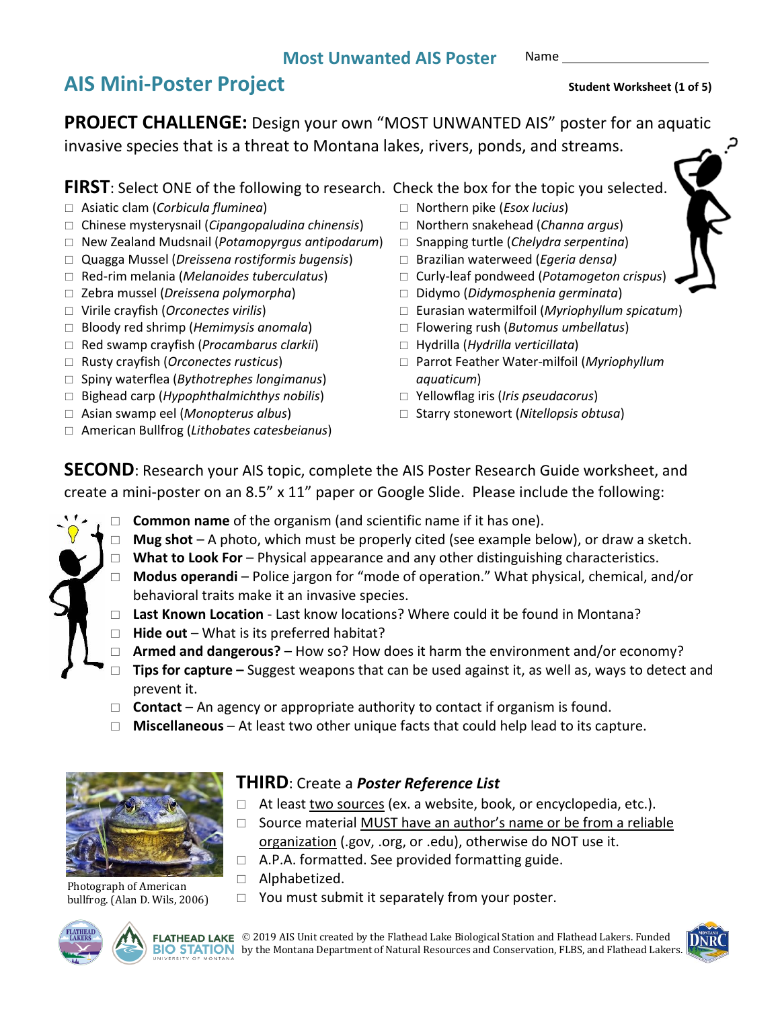## **Most Unwanted AIS Poster**

Name

# AIS Mini-Poster Project **AIS** Student Worksheet (1 of 5)

**PROJECT CHALLENGE:** Design your own "MOST UNWANTED AIS" poster for an aquatic invasive species that is a threat to Montana lakes, rivers, ponds, and streams.

**FIRST**: Select ONE of the following to research. Check the box for the topic you selected.

- Asiatic clam (*Corbicula fluminea*)
- Chinese mysterysnail (*Cipangopaludina chinensis*)
- New Zealand Mudsnail (*Potamopyrgus antipodarum*)
- Quagga Mussel (*Dreissena rostiformis bugensis*)
- Red-rim melania (*Melanoides tuberculatus*)
- Zebra mussel (*Dreissena polymorpha*)
- Virile crayfish (*Orconectes virilis*)
- Bloody red shrimp (*Hemimysis anomala*)
- Red swamp crayfish (*Procambarus clarkii*)
- Rusty crayfish (*Orconectes rusticus*)
- Spiny waterflea (*Bythotrephes longimanus*)
- Bighead carp (*Hypophthalmichthys nobilis*)
- Asian swamp eel (*Monopterus albus*)
- American Bullfrog (*Lithobates catesbeianus*)
- Northern pike (*Esox lucius*)
- Northern snakehead (*Channa argus*)
- Snapping turtle (*Chelydra serpentina*)
- Brazilian waterweed (*Egeria densa)*
- Curly-leaf pondweed (*Potamogeton crispus*)
- Didymo (*Didymosphenia germinata*)
- Eurasian watermilfoil (*Myriophyllum spicatum*)
- Flowering rush (*Butomus umbellatus*)
- Hydrilla (*Hydrilla verticillata*)
- Parrot Feather Water-milfoil (*Myriophyllum aquaticum*)
- Yellowflag iris (*Iris pseudacorus*)
- □ Starry stonewort (Nitellopsis obtusa)

**SECOND**: Research your AIS topic, complete the AIS Poster Research Guide worksheet, and create a mini-poster on an 8.5" x 11" paper or Google Slide. Please include the following:

- **Common name** of the organism (and scientific name if it has one).
	- □ **Mug shot** A photo, which must be properly cited (see example below), or draw a sketch.
	- □ **What to Look For** Physical appearance and any other distinguishing characteristics.
	- **Modus operandi** Police jargon for "mode of operation." What physical, chemical, and/or behavioral traits make it an invasive species.
	- **Last Known Location** Last know locations? Where could it be found in Montana?
	- **Hide out** What is its preferred habitat?
	- **Armed and dangerous?** How so? How does it harm the environment and/or economy?
	- □ **Tips for capture** Suggest weapons that can be used against it, as well as, ways to detect and prevent it.
	- □ **Contact** An agency or appropriate authority to contact if organism is found.
	- **Miscellaneous** At least two other unique facts that could help lead to its capture.



Photograph of American bullfrog. (Alan D. Wils, 2006)

## **THIRD**: Create a *Poster Reference List*

- $\Box$  At least two sources (ex. a website, book, or encyclopedia, etc.).
- $\Box$  Source material MUST have an author's name or be from a reliable organization (.gov, .org, or .edu), otherwise do NOT use it.
- $\Box$  A.P.A. formatted. See provided formatting guide.
- □ Alphabetized.
- $\Box$  You must submit it separately from your poster.





FLATHEAD LAKE © 2019 AIS Unit created by the Flathead Lake Biological Station and Flathead Lakers. Funded **BIO STATION** by the Montana Department of Natural Resources and Conservation, FLBS, and Flathead Lakers.



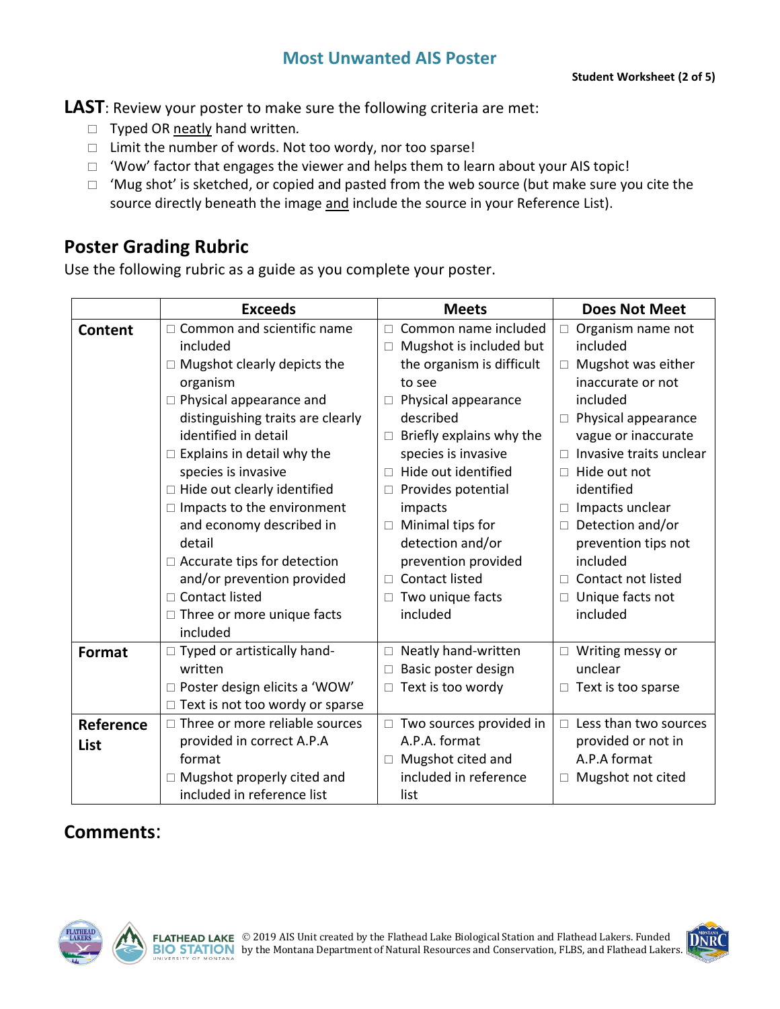## **Most Unwanted AIS Poster**

**LAST**: Review your poster to make sure the following criteria are met:

- Typed OR neatly hand written*.*
- $\Box$  Limit the number of words. Not too wordy, nor too sparse!
- $\Box$  'Wow' factor that engages the viewer and helps them to learn about your AIS topic!
- $\Box$  'Mug shot' is sketched, or copied and pasted from the web source (but make sure you cite the source directly beneath the image and include the source in your Reference List).

## **Poster Grading Rubric**

Use the following rubric as a guide as you complete your poster.

|                | <b>Exceeds</b>                        | <b>Meets</b>                       | <b>Does Not Meet</b>            |
|----------------|---------------------------------------|------------------------------------|---------------------------------|
| <b>Content</b> | Common and scientific name            | Common name included<br>П.         | Organism name not<br>$\Box$     |
|                | included                              | Mugshot is included but<br>$\Box$  | included                        |
|                | $\Box$ Mugshot clearly depicts the    | the organism is difficult          | Mugshot was either<br>$\Box$    |
|                | organism                              | to see                             | inaccurate or not               |
|                | Physical appearance and               | Physical appearance<br>□           | included                        |
|                | distinguishing traits are clearly     | described                          | Physical appearance<br>$\Box$   |
|                | identified in detail                  | Briefly explains why the<br>$\Box$ | vague or inaccurate             |
|                | Explains in detail why the            | species is invasive                | Invasive traits unclear         |
|                | species is invasive                   | Hide out identified<br>$\Box$      | Hide out not<br>$\Box$          |
|                | $\Box$ Hide out clearly identified    | Provides potential<br>$\Box$       | identified                      |
|                | Impacts to the environment            | impacts                            | Impacts unclear<br>П.           |
|                | and economy described in              | Minimal tips for<br>$\Box$         | Detection and/or<br>$\Box$      |
|                | detail                                | detection and/or                   | prevention tips not             |
|                | $\Box$ Accurate tips for detection    | prevention provided                | included                        |
|                | and/or prevention provided            | <b>Contact listed</b><br>$\Box$    | Contact not listed<br>$\Box$    |
|                | □ Contact listed                      | Two unique facts                   | Unique facts not<br>$\Box$      |
|                | $\Box$ Three or more unique facts     | included                           | included                        |
|                | included                              |                                    |                                 |
| <b>Format</b>  | $\Box$ Typed or artistically hand-    | Neatly hand-written<br>$\Box$      | Writing messy or<br>$\Box$      |
|                | written                               | Basic poster design                | unclear                         |
|                | $\Box$ Poster design elicits a 'WOW'  | $\Box$ Text is too wordy           | Text is too sparse<br>$\Box$    |
|                | Text is not too wordy or sparse       |                                    |                                 |
| Reference      | $\Box$ Three or more reliable sources | $\Box$ Two sources provided in     | Less than two sources<br>$\Box$ |
| List           | provided in correct A.P.A             | A.P.A. format                      | provided or not in              |
|                | format                                | Mugshot cited and                  | A.P.A format                    |
|                | Mugshot properly cited and            | included in reference              | Mugshot not cited<br>$\Box$     |
|                | included in reference list            | list                               |                                 |

## **Comments**:



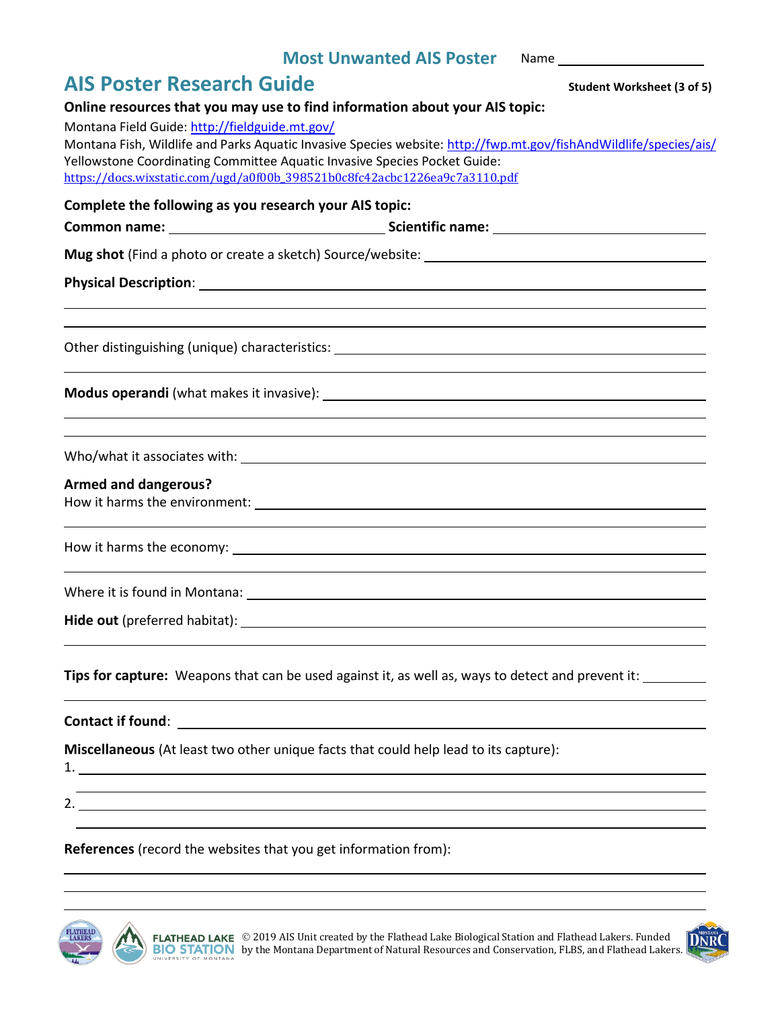#### **Most Unwanted AIS Poster** Name

| <b>AIS Poster Research Guide</b> | <b>Student Worksheet (3 of 5)</b> |
|----------------------------------|-----------------------------------|
|                                  |                                   |

| Online resources that you may use to find information about your AIS topic:                                                                                                                                                                                                                                            |
|------------------------------------------------------------------------------------------------------------------------------------------------------------------------------------------------------------------------------------------------------------------------------------------------------------------------|
| Montana Field Guide: http://fieldguide.mt.gov/                                                                                                                                                                                                                                                                         |
| Montana Fish, Wildlife and Parks Aquatic Invasive Species website: http://fwp.mt.gov/fishAndWildlife/species/ais/<br>Yellowstone Coordinating Committee Aquatic Invasive Species Pocket Guide:                                                                                                                         |
| https://docs.wixstatic.com/ugd/a0f00b_398521b0c8fc42acbc1226ea9c7a3110.pdf                                                                                                                                                                                                                                             |
| Complete the following as you research your AIS topic:                                                                                                                                                                                                                                                                 |
|                                                                                                                                                                                                                                                                                                                        |
|                                                                                                                                                                                                                                                                                                                        |
|                                                                                                                                                                                                                                                                                                                        |
|                                                                                                                                                                                                                                                                                                                        |
|                                                                                                                                                                                                                                                                                                                        |
|                                                                                                                                                                                                                                                                                                                        |
|                                                                                                                                                                                                                                                                                                                        |
|                                                                                                                                                                                                                                                                                                                        |
| <b>Armed and dangerous?</b>                                                                                                                                                                                                                                                                                            |
|                                                                                                                                                                                                                                                                                                                        |
|                                                                                                                                                                                                                                                                                                                        |
| ,我们也不会有什么。""我们的人,我们也不会有什么?""我们的人,我们也不会有什么?""我们的人,我们也不会有什么?""我们的人,我们也不会有什么?""我们的人                                                                                                                                                                                                                                       |
|                                                                                                                                                                                                                                                                                                                        |
| Tips for capture: Weapons that can be used against it, as well as, ways to detect and prevent it:                                                                                                                                                                                                                      |
|                                                                                                                                                                                                                                                                                                                        |
| Miscellaneous (At least two other unique facts that could help lead to its capture):                                                                                                                                                                                                                                   |
| 2. $\frac{1}{2}$ $\frac{1}{2}$ $\frac{1}{2}$ $\frac{1}{2}$ $\frac{1}{2}$ $\frac{1}{2}$ $\frac{1}{2}$ $\frac{1}{2}$ $\frac{1}{2}$ $\frac{1}{2}$ $\frac{1}{2}$ $\frac{1}{2}$ $\frac{1}{2}$ $\frac{1}{2}$ $\frac{1}{2}$ $\frac{1}{2}$ $\frac{1}{2}$ $\frac{1}{2}$ $\frac{1}{2}$ $\frac{1}{2}$ $\frac{1}{2}$ $\frac{1}{2}$ |
| References (record the websites that you get information from):                                                                                                                                                                                                                                                        |